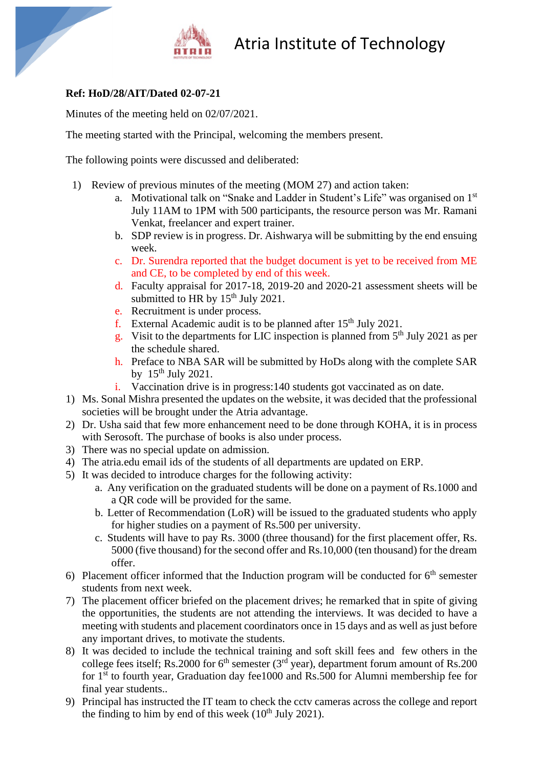

## Atria Institute of Technology

## **Ref: HoD/28/AIT/Dated 02-07-21**

Minutes of the meeting held on 02/07/2021.

The meeting started with the Principal, welcoming the members present.

The following points were discussed and deliberated:

- 1) Review of previous minutes of the meeting (MOM 27) and action taken:
	- a. Motivational talk on "Snake and Ladder in Student's Life" was organised on 1st July 11AM to 1PM with 500 participants, the resource person was Mr. Ramani Venkat, freelancer and expert trainer.
	- b. SDP review is in progress. Dr. Aishwarya will be submitting by the end ensuing week.
	- c. Dr. Surendra reported that the budget document is yet to be received from ME and CE, to be completed by end of this week.
	- d. Faculty appraisal for 2017-18, 2019-20 and 2020-21 assessment sheets will be submitted to HR by  $15<sup>th</sup>$  July 2021.
	- e. Recruitment is under process.
	- f. External Academic audit is to be planned after  $15<sup>th</sup>$  July 2021.
	- g. Visit to the departments for LIC inspection is planned from  $5<sup>th</sup>$  July 2021 as per the schedule shared.
	- h. Preface to NBA SAR will be submitted by HoDs along with the complete SAR by  $15<sup>th</sup>$  July 2021.
	- i. Vaccination drive is in progress:140 students got vaccinated as on date.
- 1) Ms. Sonal Mishra presented the updates on the website, it was decided that the professional societies will be brought under the Atria advantage.
- 2) Dr. Usha said that few more enhancement need to be done through KOHA, it is in process with Serosoft. The purchase of books is also under process.
- 3) There was no special update on admission.
- 4) The atria.edu email ids of the students of all departments are updated on ERP.
- 5) It was decided to introduce charges for the following activity:
	- a. Any verification on the graduated students will be done on a payment of Rs.1000 and a QR code will be provided for the same.
	- b. Letter of Recommendation (LoR) will be issued to the graduated students who apply for higher studies on a payment of Rs.500 per university.
	- c. Students will have to pay Rs. 3000 (three thousand) for the first placement offer, Rs. 5000 (five thousand) for the second offer and Rs.10,000 (ten thousand) for the dream offer.
- 6) Placement officer informed that the Induction program will be conducted for  $6<sup>th</sup>$  semester students from next week.
- 7) The placement officer briefed on the placement drives; he remarked that in spite of giving the opportunities, the students are not attending the interviews. It was decided to have a meeting with students and placement coordinators once in 15 days and as well as just before any important drives, to motivate the students.
- 8) It was decided to include the technical training and soft skill fees and few others in the college fees itself; Rs.2000 for  $6<sup>th</sup>$  semester (3<sup>rd</sup> year), department forum amount of Rs.200 for 1<sup>st</sup> to fourth year, Graduation day fee1000 and Rs.500 for Alumni membership fee for final year students..
- 9) Principal has instructed the IT team to check the cctv cameras across the college and report the finding to him by end of this week  $(10<sup>th</sup>$  July 2021).